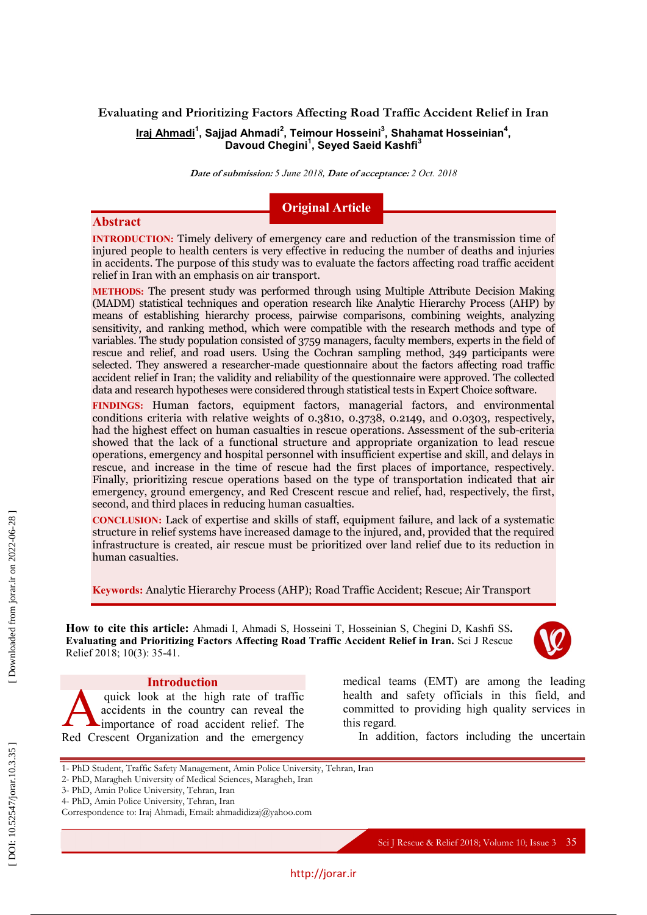# **Evaluating and Prioritizing Factors Affecting Road Traffic Accident Relief in Iran Iraj Ahmadi 1 , Sajjad Ahmadi 2 , Teimour Hosseini 3 , Shahamat Hosseinian 4 , Davoud Chegini 1 , Seyed Saeid Kashfi 3**

**Date of submission:** *5 June 2018,* **Date of acceptance:** *2 Oct. 2018*

# **Original Article**

### **Abstract**

**INTRODUCTION :** Timely delivery of emergency care and reduction of the transmission time of injured people to health centers is very effective in reducing the number of deaths and injuries in accidents. The purpose of this study was to evaluate the factors affecting road traffic accident relief in Iran with an emphasis on air transport .

**METHODS:** The present study was performed through using Multiple Attribute Decision Making (MADM) statistical techniques and operation research like Analytic Hierarchy Process (AHP) by means of establishing hierarchy process, pairwise comparisons, combining weights, analyzing sensitivity, and ranking method, which were compatible with the research methods and type of variables. The study population consisted of 3759 managers, faculty members, experts in the field of rescue and relief, and road users. Using the Cochran sampling method, 349 participants were selected. They answered a researcher -made questionnaire about the factors affecting road traffic accident relief in Iran ; the validity and reliability of the questionnaire were approved. The collected data and research hypotheses were considered through statistical tests in Expert Choice software .

**FINDINGS :** Human factors, equipment factors, managerial factors, and environmental conditions criteria with relative weights of 0.3810, 0.3738, 0.2149, and 0.0303, respectively, had the highest effect on human casualties in rescue operations. Assessment of the sub -criteria showed that the lack of a functional structure and appropriate organization to lead rescue operations, emergency and hospital personnel with insufficient expertise and skill, and delays in rescue , and increase in the time of rescue had the first places of importance, respectively. Finally, prioritizing rescue operations based on the type of transportation indicated that air emergency, ground emergency, and Red Crescent rescue and relief, had , respectively , the first, second, and third places in reducing human casualties .

**CONCLUSION:** Lack of expertise and skills of staff, equipment failure, and lack of a systematic structure in relief systems have increased damage to the injured, and , provided that the required infrastructure is created, air rescue must be prioritized over land relief due to its reduction in human casualties .

**Keywords:** Analytic Hierarchy Process (AHP); Road Traffic Accident; Rescue; Air Transport

How to cite this article: Ahmadi I, Ahmadi S, Hosseini T, Hosseinian S, Chegini D, Kashfi SS. **Evaluating and Prioritizing Factors Affecting Road Traffic Accident Relief in Iran.** Sci J Rescue Relief 2018; 10(3): 35-41.



## **Introduction**

quick look at the high rate of traffic accidents in the country can reveal the importance of road accident relief. The quick look at the high rate of traffic<br>accidents in the country can reveal the<br>Red Crescent Organization and the emergency

2 - PhD, Maragheh University of Medical Sciences, Maragheh, Iran

Correspondence to: Iraj Ahmadi, Email: ahmadidizaj@yahoo.com

3 - PhD, Amin Police University, Tehran, Iran 4 - PhD, Amin Police University, Tehran, Iran

1 - PhD Student , Traffic Safety Management, Amin Police University, Tehran, Iran

medical teams (EMT) are among the leading health and safety officials in this field, and committed to providing high quality services in this regard .

In addition, factors including the uncertain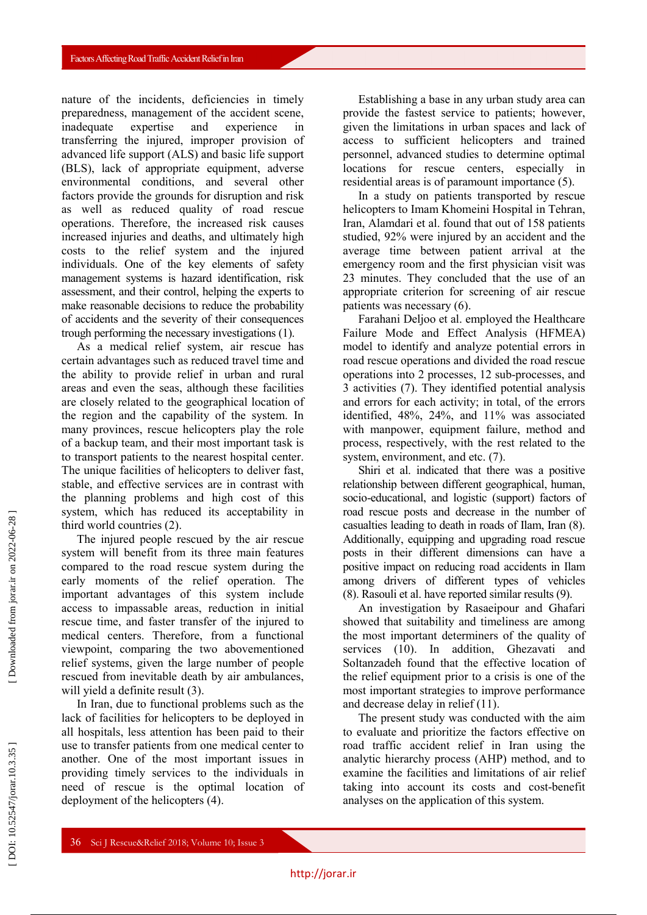nature of the incidents, deficiencies in timely preparedness, management of the accident scene, inadequate expertise and experience in transferring the injured, improper provision of advanced life support (ALS) and basic life support (BLS), lack of appropriate equipment, adverse environmental conditions, and several other factors provide the ground s for disruption and risk as well as reduced quality of road rescue operations. Therefore, the increased risk causes increased injuries and deaths, and ultimately high costs to the relief system and the injured individuals. One of the key elements of safety management systems is hazard identification, risk assessment, and their control, helping the experts to make reasonable decisions to reduce the probability of accidents and the severity of their consequences trough performing the necessary investigations (1).

As a medical relief system, air rescue has certain advantages such as reduced travel time and the ability to provide relief in urban and rural areas and even the seas, although these facilities are closely related to the geographical location of the region and the capability of the system. In many provinces, rescue helicopters play the role of a backup team, and their most important task is to transport patients to the nearest hospital center. The unique facilities of helicopters to deliver fast, stable, and effective service s are in contrast with the planning problems and high cost of this system, which has reduced its acceptability in third world countries (2).

The injured people rescued by the air rescue system will benefit from its three main features compared to the road rescue system during the early moments of the relief operation. The important advantages of this system include access to impassable areas, reduction in initial rescue time, and faster transfer of the injured to medical centers. Therefore, from a functional viewpoint, comparing the two abovementioned relief systems , given the large number of people rescued from inevitable death by air ambulances , will yield a definite result (3).

In Iran, due to functional problems such as the lack of facilities for helicopters to be deployed in all hospitals, less attention has been paid to their use to transfer patients from one medical center to another. One of the most important issues in providing timely services to the individuals in need of rescue is the optimal location of deployment of the helicopters (4).

Establishing a base in any urban study area can provide the fastest service to patients ; however , given the limitations in urban spaces and lack of access to sufficient helicopters and trained personnel, advanced studies to determine optimal locations for rescue centers, especially in residential areas is of paramount importance (5).

In a study on patients transported by rescue helicopters to Imam Khomeini Hospital in Tehran, Iran, Alamdari et al. found that out of 158 patients studied, 92% were injured by an accident and the average time between patient arrival at the emergency room and the first physician visit was 23 minutes. They concluded that the use of an appropriate criterion for screening of air rescue patients was necessary (6).

Farahani Deljoo et al. employed the Healthcare Failure Mode and Effect Analysis (HFMEA) model to identify and analyze potential errors in road rescue operations and divided the road rescue operations into 2 processes, 12 sub -processes, and 3 activities (7). They identified potential analysis and errors for each activity; in total, of the errors identified, 48%, 24%, and 11% was associated with manpower, equipment failure, method and process, respectively, with the rest related to the system, environment, and etc. (7).

Shiri et al. indicated that there was a positive relationship between different geographical, human, socio -educational, and logistic (support) factors of road rescue posts and decrease in the number of casualties leading to death in roads of Ilam, Iran (8). Additionally, equipping and upgrading road rescue posts in their different dimensions can have a positive impact on reducing road accidents in Ilam among drivers of different types of vehicles (8). Rasouli et al. have reported similar results (9).

An investigation by Rasaeipour and Ghafari showed that suitability and timeliness are among the most important determiners of the quality of services (10). In addition, Ghezavati and Soltanzadeh found that the effective location of the relief equipment prior to a crisis is one of the most important strategies to improve performance and decrease delay in relief (11).

The present study was conducted with the aim to evaluate and prioritize the factors effective on road traffic accident relief in Iran using the analytic hierarchy process (AHP) method , and to examine the facilities and limitations of air relief taking into account its costs and cost -benefit analyses on the application of this system .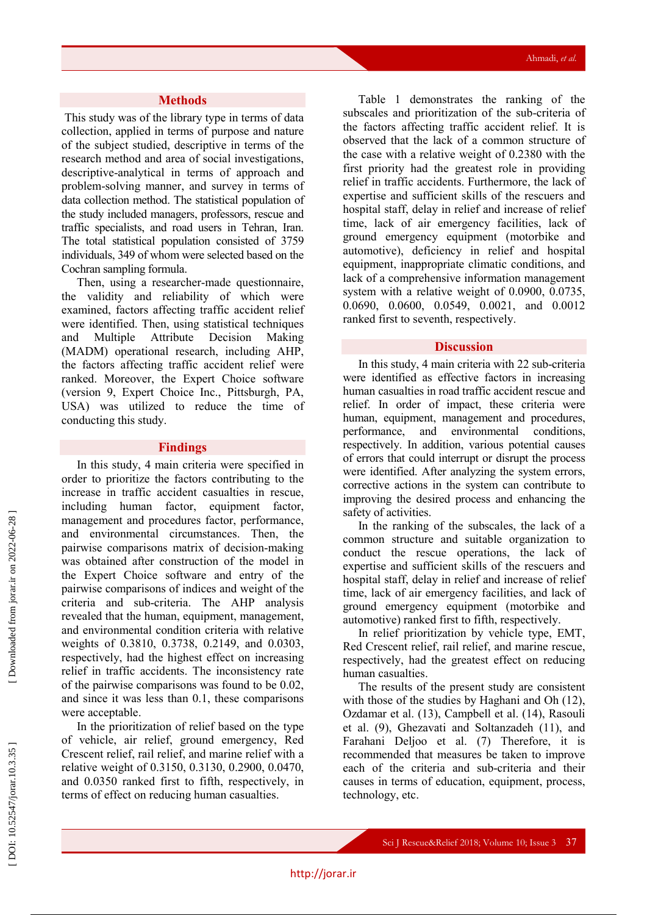#### **Methods**

This study was of the library type in terms of data collection, applied in terms of purpose and nature of the subject studied, descriptive in terms of the research method and area of social investigations, descriptive -analytical in terms of approach and problem -solving manner, and survey in terms of data collection method. The statistical population of the study included managers, professors, rescue and traffic specialists, and road users in Tehran, Iran. The total statistical population consisted of 3759 individuals, 349 of whom were selected based on the Cochran sampling formula.

Then, using a researcher -made questionnaire, the validity and reliability of which were examined, factors affecting traffic accident relief were identified. Then, using statistical techniques and Multiple Attribute Decision Making (MADM) operational research, including AHP, the factors affecting traffic accident relief were ranked. Moreover, the Expert Choice software (version 9, Expert Choice Inc., Pittsburgh, PA, USA) was utilized to reduce the time of conducting this study .

#### **Findings**

In this study, 4 main criteria were specified in order to prioritize the factors contributing to the increase in traffic accident casualties in rescue, including human factor, equipment factor, management and procedures factor, performance, and environmental circumstances. Then, the pairwise comparisons matrix of decision -making was obtained after constructi o n of the model in the Expert Choice software and entry of the pairwise comparisons of indices and weight of the criteria and sub -criteria. The AHP analysis revealed that the human, equipment, management, and environmental condition criteria with relative weights of 0.3810, 0.3738, 0.2149, and 0.0303, respectively, had the highest effect on increasing relief in traffic accidents. The inconsistency rate of the pairwise comparisons was found to be 0.02 , and since it was less than 0.1, these comparisons were acceptable.

In the prioritization of relief based on the type of vehicle, air relief, ground emergency, Red Crescent relief, rail relief, and marine relief with a relative weight of 0.3150, 0.3130, 0.2900, 0.0470, and 0.0350 ranked first to fifth , respectively , in terms of effect on reducing human casualties.

Table 1 demonstrates the ranking of the subscales and prioritization of the sub -criteria of the factors affecting traffic accident relief. It is observed that the lack of a common structure of the case with a relative weight of 0.2380 with the first priority had the greatest role in providing relief in traffic accidents. Furthermore, the lack of expertise and sufficient skills of the rescuers and hospital staff, delay in relief and increase of relief time, lack of air emergency facilities, lack of ground emergency equipment (motorbike and automotive), deficiency in relief and hospital equipment, inappropriate climatic conditions, and lack of a comprehensive information management system with a relative weight of 0.0900, 0.0735, 0.0690, 0.0600, 0.0549, 0.0021, and 0.0012 ranked first to seventh, respectively .

#### **Discussion**

In this study, 4 main criteria with 22 sub -criteria were identified as effective factors in increasing human casualties in road traffic accident rescue and relief. In order of impact, these criteria were human, equipment, management and procedures, performance, and environmental conditions, respectively. In addition, various potential causes of errors that could interrupt or disrupt the process were identified. After analyzing the system errors, corrective actions in the system can contribute to improving the desired process and enhancing the safety of activities.

In the ranking of the subscales, the lack of a common structure and suitable organization to conduct the rescue operations, the lack of expertise and sufficient skills of the rescuers and hospital staff, delay in relief and increase of relief time, lack of air emergency facilities, and lack of ground emergency equipment (motorbike and automotive) ranked first to fifth, respectively.

In relief prioritization by vehicle type, EMT, Red Crescent relief, rail relief, and marine rescue, respectively, had the greatest effect on reducing human casualties.

The results of the present study are consistent with those of the studies by Haghani and Oh (12), Ozdamar et al. (13), Campbell et al. (14), Rasouli et al. (9), Ghezavati and Soltanzadeh (11), and Farahani Deljoo et al. (7) Therefore, it is recommended that measures be taken to improve each of the criteria and sub -criteria and their causes in terms of education, equipment, process, technolog y, etc .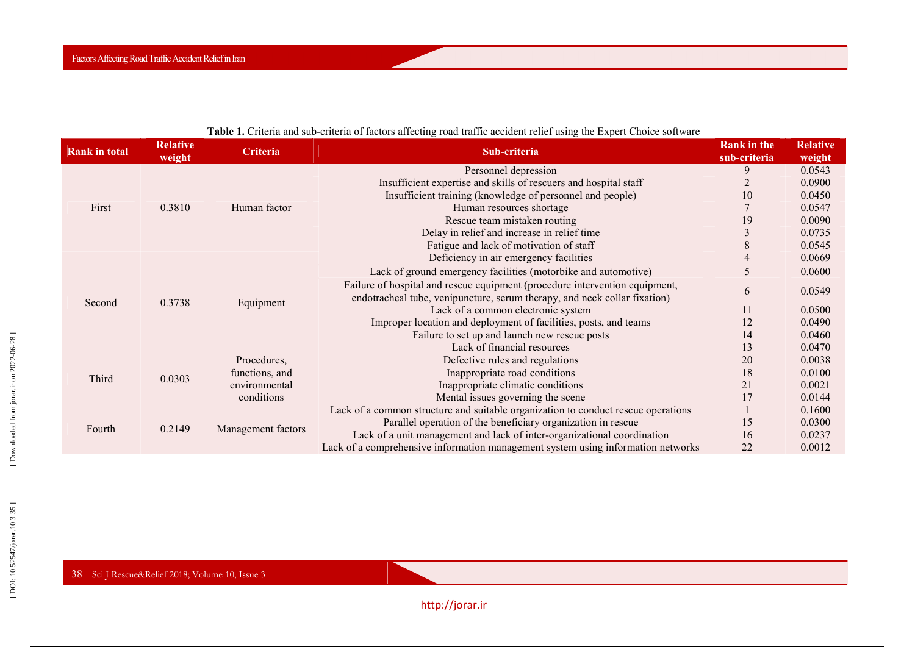| <b>Rank in total</b> | <b>Relative</b><br>weight | <b>Criteria</b>    | Sub-criteria                                                                                                                                             | <b>Rank</b> in the<br>sub-criteria | <b>Relative</b><br>weight |
|----------------------|---------------------------|--------------------|----------------------------------------------------------------------------------------------------------------------------------------------------------|------------------------------------|---------------------------|
| First                | 0.3810                    | Human factor       | Personnel depression                                                                                                                                     | 9                                  | 0.0543                    |
|                      |                           |                    | Insufficient expertise and skills of rescuers and hospital staff                                                                                         |                                    | 0.0900                    |
|                      |                           |                    | Insufficient training (knowledge of personnel and people)                                                                                                | 10                                 | 0.0450                    |
|                      |                           |                    | Human resources shortage                                                                                                                                 |                                    | 0.0547                    |
|                      |                           |                    | Rescue team mistaken routing                                                                                                                             | 19                                 | 0.0090                    |
|                      |                           |                    | Delay in relief and increase in relief time                                                                                                              |                                    | 0.0735                    |
|                      |                           |                    | Fatigue and lack of motivation of staff                                                                                                                  |                                    | 0.0545                    |
| Second               | 0.3738                    | Equipment          | Deficiency in air emergency facilities                                                                                                                   |                                    | 0.0669                    |
|                      |                           |                    | Lack of ground emergency facilities (motorbike and automotive)                                                                                           | 5                                  | 0.0600                    |
|                      |                           |                    | Failure of hospital and rescue equipment (procedure intervention equipment,<br>endotracheal tube, venipuncture, serum therapy, and neck collar fixation) | 6                                  | 0.0549                    |
|                      |                           |                    | Lack of a common electronic system                                                                                                                       | 11                                 | 0.0500                    |
|                      |                           |                    | Improper location and deployment of facilities, posts, and teams                                                                                         | 12                                 | 0.0490                    |
|                      |                           |                    | Failure to set up and launch new rescue posts                                                                                                            | 14                                 | 0.0460                    |
|                      |                           |                    | Lack of financial resources                                                                                                                              | 13                                 | 0.0470                    |
| Third                | 0.0303                    | Procedures,        | Defective rules and regulations                                                                                                                          | 20                                 | 0.0038                    |
|                      |                           | functions, and     | Inappropriate road conditions                                                                                                                            | 18                                 | 0.0100                    |
|                      |                           | environmental      | Inappropriate climatic conditions                                                                                                                        | 21                                 | 0.0021                    |
|                      |                           | conditions         | Mental issues governing the scene                                                                                                                        | 17                                 | 0.0144                    |
| Fourth               | 0.2149                    | Management factors | Lack of a common structure and suitable organization to conduct rescue operations                                                                        |                                    | 0.1600                    |
|                      |                           |                    | Parallel operation of the beneficiary organization in rescue                                                                                             | 15                                 | 0.0300                    |
|                      |                           |                    | Lack of a unit management and lack of inter-organizational coordination                                                                                  | 16                                 | 0.0237                    |
|                      |                           |                    | Lack of a comprehensive information management system using information networks                                                                         | 22                                 | 0.0012                    |

## **Table 1.** Criteria and sub-criteria of factors affecting road traffic accident relief using the Expert Choice software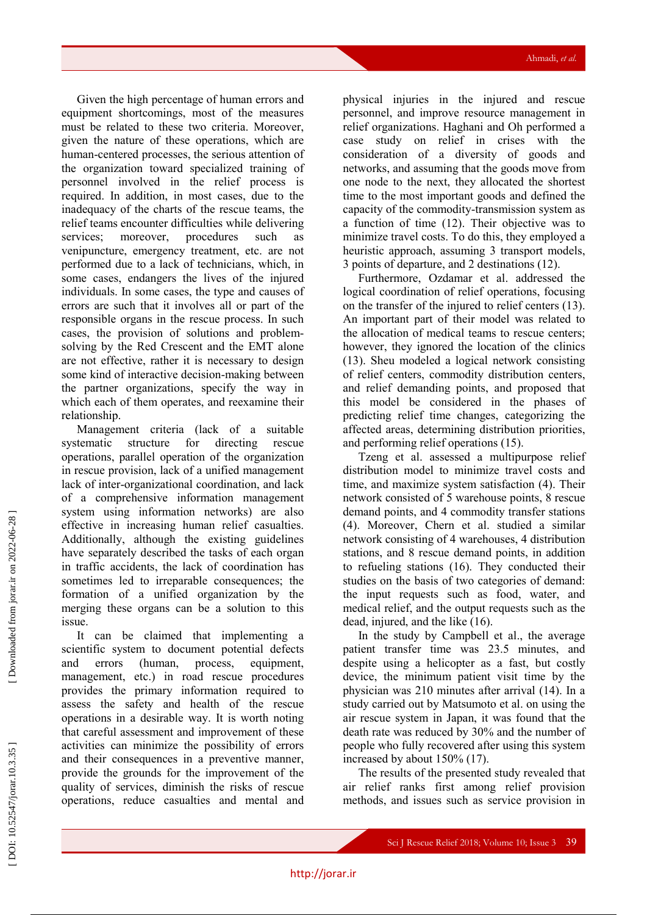Given the high percentage of human errors and equipment shortcomings, most of the measures must be related to these two criteria . Moreover, given the nature of these operations, which are human -centered processes, the serious attention of the organization toward specialized training of personnel involved in the relief process is required. In addition, in most cases, due to the inadequacy of the charts of the rescue teams, the relief teams encounter difficulties while delivering services: moreover, procedures such as venipuncture, emergency treatment, etc. are not performed due to a lack of technicians, which, in some cases, endangers the lives of the injured individuals. In some cases, the type and causes of errors are such that it involves all or part of the responsible organs in the rescue process. In such cases, the provision of solution s and problem solving by the Red Crescent and the EMT alone are not effective, rather it is necessary to design some kind of interactive decision -making between the partner organizations , specify the way in which each of them operates, and reexamin e their relationship.

Management criteria (lack of a suitable systematic structure for directing rescue operations, parallel operation of the organization in rescue provision, lack of a unified management lack of inter -organizational coordination, and lack of a comprehensive information management system using information networks) are also effective in increasing human relief casualties. Additionally, although the existing guidelines have separately described the tasks of each organ in traffic accidents, the lack of coordination has sometimes led to irreparable consequences; the formation of a unified organization by the merging these organs can be a solution to this issue .

It can be claimed that implementing a scientific system to document potential defects and errors (human, process, equipment, management, etc.) in road rescue procedures provides the primary information required to assess the safety and health of the rescue operations in a desirable way. It is worth noting that careful assessment and improvement of these activities can minimize the possibility of errors and their consequences in a preventive manner, provide the ground s for the improvement of the quality of services, diminish the risk s of rescue operations, reduce casualties and mental and

physical injuries in the injured and rescue personnel, and improv e resource management in relief organizations. Haghani and Oh performed a case study on relief in cris es with the consideration of a diversity of goods and networks, and assuming that the goods move from one node to the next, they allocated the shortest time to the most important goods and defined the capacity of the commodity -transmission system as a function of time (12). Their objective was to minimize travel costs . To do this, they employed a heuristic approach , assuming 3 transport models, 3 points of departur e, and 2 destinations (12).

Furthermore, Ozdamar et al. addressed the logical coordination of relief operations, focusing on the transfer of the injured to relief centers (13). An important part of their model was related to the allocation of medical teams to rescue centers ; however , they ignored the location of the clinics (13). Sheu modeled a logical network consisting of relief centers, commodity distribution centers, and relief demanding points , and proposed that this model be considered in the phases of predicting relief time changes, categorizing the affected areas, determining distribution priorities, and performing relief operations (15).

Tzeng et al. assessed a multipurpose relief distribution model to minimize travel costs and time , and maximize system satisfaction (4). Their network consisted of 5 warehouse points, 8 rescue demand points, and 4 commodity transfer stations (4). Moreover, Chern et al. studied a similar network consisting of 4 warehouses, 4 distribution stations, and 8 rescue demand points, in addition to refueling stations (16). They conducted their studies on the basis of two categories of demand: the input requests such as food, water, and medical relief, and the output requests such as the dead, injured, and the like (16).

In the study by Campbell et al., the average patient transfer time was 23.5 minutes, and despite using a helicopter as a fast , but costly device, the minimum patient visit time by the physician was 210 minutes after arrival (14). In a study carried out by Matsumoto et al. on using the air rescue system in Japan, it was found that the death rate was reduced by 30% and the number of people who fully recovered after using this system increased by about 150% (17).

The results of the presented study revealed that air relief ranks first among relief provision methods, and issues such as service provision in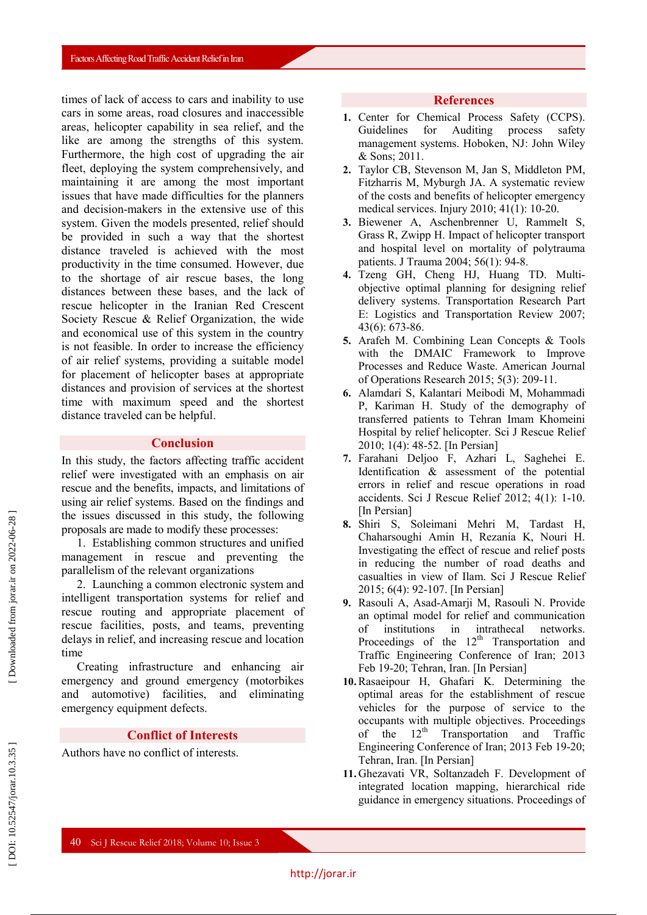times of lack of access to cars and inability to use cars in some areas, road closures and inaccessible areas, helicopter capability in sea relief, and the like are among the strengths of this system. Furthermore, the high cost of upgrading the air fleet, deploying the system comprehensively, and maintaining it are among the most important issues that have made difficulties for the planners and decision -makers in the extensive use of this system. Given the models presented, relief should be provided in such a way that the shortest distance traveled is achieved with the most productivity in the time consumed. However, due to the shortage of air rescue bases , the long distances between these bases, and the lack of rescue helicopter in the Iranian Red Crescent Society Rescue & Relief Organization, the wide and economical use of this system in the country is not feasible. In order to increase the efficiency of air relief systems, providing a suitable model for placement of helicopter bases at appropriate distances and provision of services at the shortest time with maximum speed and the shortest distance traveled can be helpful .

#### **Conclusion**

In this study, the factors affecting traffic accident relief were investigated with an emphasis on air rescue and the benefits, impacts, and limitations of using air relief systems. Based on the findings and the issues discussed in this study, the following proposals are made to modify these processes:

1. Establishing common structures and unified management in rescue and preventing the parallelism of the relevant organizations

2. Launching a common electronic system and intelligent transportation systems for relief and rescue routing and appropriate placement of rescue facilities, posts, and teams, preventing delays in relief, and increasing rescue and location time

Creating infrastructure and enhancing air emergency and ground emergency (motorbikes and automotive) facilities , and eliminating emergency equipment defects .

### **Conflict of Interests**

Authors have no conflict of interests.

#### **References**

- **1 .** Center for Chemical Process Safety (CCPS). Guidelines for Auditing process safety management systems. Hoboken, NJ: John Wiley & Sons; 2011.
- **2 .** Taylor CB, Stevenson M, Jan S, Middleton PM, Fitzharris M, Myburgh JA. A systematic review of the costs and benefits of helicopter emergency medical services. Injury 2010; 41(1): 10 -20.
- **3 .** Biewener A, Aschenbrenner U, Rammelt S, Grass R, Zwipp H. Impact of helicopter transport and hospital level on mortality of polytrauma patients. J Trauma 2004; 56(1): 94 -8.
- **4 .** Tzeng GH, Cheng HJ, Huang TD. Multi objective optimal planning for designing relief delivery systems. Transportation Research Part E: Logistics and Transportation Review 2007; 43(6): 673 -86.
- **5 .** Arafeh M. Combining Lean Concepts & Tools with the DMAIC Framework to Improve Processes and Reduce Waste. American Journal of Operations Research 2015; 5( 3): 209 -11 .
- **6 .** Alamdari S, Kalantari Meibodi M, Mohammadi P, Kariman H. Study of the demography of transferred patients to Tehran Imam Khomeini Hospital by relief helicopter. Sci J Rescue Relief 2010; 1(4): 48 -52. [In Persian]
- **7 .** Farahani Deljoo F, Azhari L, Saghehei E. Identification & assessment of the potential errors in relief and rescue operations in road accidents. Sci J Rescue Relief 2012; 4(1): 1 -10. [In Persian]
- **8 .** Shiri S, Soleimani Mehri M, Tardast H, Chaharsoughi Amin H, Rezania K, Nouri H. Investigating the effect of rescue and relief posts in reducing the number of road deaths and casualties in view of Ilam. Sci J Rescue Relief 2015; 6(4): 92-107. [In Persian]
- **9 .** Rasouli A, Asad -Amarji M, Rasouli N. Provide an optimal model for relief and communication of institutions in intrathecal networks. Proceedings of the  $12<sup>th</sup>$  Transportation and Traffic Engineering Conference of Iran; 2013 Feb 19 -20; Tehran, Iran. [In Persian]
- **10 .**Rasaeipour H, Ghafari K. Determining the optimal areas for the establishment of rescue vehicles for the purpose of service to the occupants with multiple objectives. Proceedings of the  $12<sup>th</sup>$  Transportation and Traffic Engineering Conference of Iran; 2013 Feb 19 -20; Tehran, Iran. [In Persian]
- **11 .** Ghezavati VR, Soltanzadeh F. Development of integrated location mapping, hierarchical ride guidance in emergency situations. Proceedings of